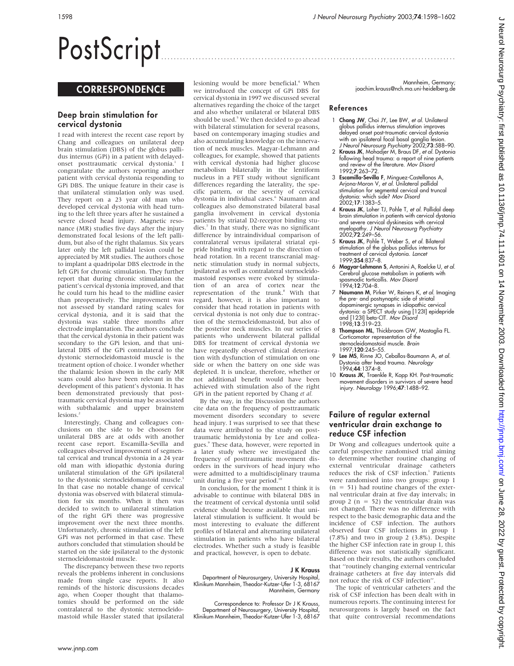# PostScript ..............................................................................................

# **CORRESPONDENCE**

# Deep brain stimulation for cervical dystonia

I read with interest the recent case report by Chang and colleagues on unilateral deep brain stimulation (DBS) of the globus pallidus internus (GPi) in a patient with delayedonset posttraumatic cervical dystonia.<sup>1</sup> I congratulate the authors reporting another patient with cervical dystonia responding to GPi DBS. The unique feature in their case is that unilateral stimulation only was used. They report on a 23 year old man who developed cervical dystonia with head turning to the left three years after he sustained a severe closed head injury. Magnetic resonance (MR) studies five days after the injury demonstrated focal lesions of the left pallidum, but also of the right thalamus. Six years later only the left pallidal lesion could be appreciated by MR studies. The authors chose to implant a quadripolar DBS electrode in the left GPi for chronic stimulation. They further report that during chronic stimulation the patient's cervical dystonia improved, and that he could turn his head to the midline easier than preoperatively. The improvement was not assessed by standard rating scales for cervical dystonia, and it is said that the dystonia was stable three months after electrode implantation. The authors conclude that the cervical dystonia in their patient was secondary to the GPi lesion, and that unilateral DBS of the GPi contralateral to the dystonic sternocleidomastoid muscle is the treatment option of choice. I wonder whether the thalamic lesion shown in the early MR scans could also have been relevant in the development of this patient's dystonia. It has been demonstrated previously that posttraumatic cervical dystonia may be associated with subthalamic and upper brainstem lesions.<sup>2</sup>

Interestingly, Chang and colleagues conclusions on the side to be choosen for unilateral DBS are at odds with another recent case report. Escamilla-Sevilla and colleagues observed improvement of segmental cervical and truncal dystonia in a 24 year old man with idiopathic dystonia during unilateral stimulation of the GPi ipsilateral to the dystonic sternocleidomastoid muscle.<sup>3</sup> In that case no notable change of cervical dystonia was observed with bilateral stimulation for six months. When it then was decided to switch to unilateral stimulation of the right GPi there was progressive improvement over the next three months. Unfortunately, chronic stimulation of the left GPi was not performed in that case. These authors concluded that stimulation should be started on the side ipsilateral to the dystonic sternocleidomastoid muscle.

The discrepancy between these two reports reveals the problems inherent in conclusions made from single case reports. It also reminds of the historic discussions decades ago, when Cooper thought that thalamotomies should be performed on the side contralateral to the dystonic sternocleidomastoid while Hassler stated that ipsilateral lesioning would be more beneficial.<sup>4</sup> When we introduced the concept of GPi DBS for cervical dystonia in 1997 we discussed several alternatives regarding the choice of the target and also whether unilateral or bilateral DBS should be used.<sup>5</sup> We then decided to go ahead with bilateral stimulation for several reasons, based on contemporary imaging studies and also accumulating knowledge on the innervation of neck muscles. Magyar-Lehmann and colleagues, for example, showed that patients with cervical dystonia had higher glucose metabolism bilaterally in the lentiform nucleus in a PET study without significant differences regarding the laterality, the specific pattern, or the severity of cervical dystonia in individual cases.<sup>6</sup> Naumann and colleagues also demonstrated bilateral basal ganglia involvement in cervical dystonia patients by striatal D2-receptor binding studies.<sup>7</sup> In that study, there was no significant difference by intraindividual comparison of contralateral versus ipsilateral striatal epipride binding with regard to the direction of head rotation. In a recent transcranial magnetic stimulation study in normal subjects, ipsilateral as well as contralateral sternocleidomastoid responses were evoked by stimulation of an area of cortex near the<br>representation of the trunk.<sup>8</sup> With that regard, however, it is also important to consider that head rotation in patients with cervical dystonia is not only due to contraction of the sternocleidomastoid, but also of the posterior neck muscles. In our series of patients who underwent bilateral pallidal DBS for treatment of cervical dystonia we have repeatedly observed clinical deterioration with dysfunction of stimulation on one side or when the battery on one side was depleted. It is unclear, therefore, whether or not additional benefit would have been achieved with stimulation also of the right GPi in the patient reported by Chang et al.

By the way, in the Discussion the authors cite data on the frequency of posttraumatic movement disorders secondary to severe head injury. I was surprised to see that these data were attributed to the study on posttraumatic hemidystonia by Lee and colleagues.<sup>9</sup> These data, however, were reported in a later study where we investigated the frequency of posttraumatic movement disorders in the survivors of head injury who were admitted to a multidisciplinary trauma unit during a five year period.<sup>1</sup>

In conclusion, for the moment I think it is advisable to continue with bilateral DBS in the treatment of cervical dystonia until solid evidence should become available that unilateral stimulation is sufficient. It would be most interesting to evaluate the different profiles of bilateral and alternating unilateral stimulation in patients who have bilateral electrodes. Whether such a study is feasible and practical, however, is open to debate.

# J K Krauss

Department of Neurosurgery, University Hospital, Klinikum Mannheim, Theodor-Kutzer-Ufer 1-3, 68167 Mannheim, Germany

Correspondence to: Professor Dr J K Krauss, Department of Neurosurgery, University Hospital, Klinikum Mannheim, Theodor-Kutzer-Ufer 1-3, 68167

Mannheim, Germany; joachim.krauss@nch.ma.uni-heidelberg.de

# References

- 1 Chang JW, Choi JY, Lee BW, et al. Unilateral globus pallidus internus stimulation improves delayed onset post-traumatic cervical dystonia with an ipsilateral focal basal ganglia lesion. J Neurol Neurosurg Psychiatry 2002;73:588-90.
- 2 Krauss JK, Mohadjer M, Braus DF, et al. Dystonia following head trauma: a report of nine patients and review of the literature. Mov Disord 1992;7:263–72.
- 3 Escamilla-Sevilla F, Minguez-Castellanos A, Arjona-Moron V, et al. Unilateral pallidal stimulation for segmental cervical and truncal dystonia: which side? Mov Disord 2002;17:1383–5.
- 4 Krauss JK, Loher TJ, Pohle T, et al. Pallidal deep brain stimulation in patients with cervical dystonia and severe cervical dyskinesias with cervical myelopathy. J Neurol Neurosurg Psychiatry 2002;72:249–56.
- 5 Krauss JK, Pohle T, Weber S, et al. Bilateral stimulation of the globus pallidus internus for treatment of cervical dystonia. Lancet 1999;354:837–8.
- 6 Magyar-Lehmann S, Antonini A, Roelcke U, et al. Cerebral glucose metabolism in patients with spasmodic torticollis. Mov Disord 1994;12:704–8.
- 7 Naumann M, Pirker W, Reiners K, et al. Imaging the pre- and postsynaptic side of striatal dopaminergic synapses in idiopathic cervical dystonia: a SPECT study using [123I] epidepride and [123I] beta-CIT. Mov Disord 1998;13:319–23.
- 8 Thompson ML, Thickbroom GW, Mastaglia FL. Corticomotor representation of the sternocleidomastoid muscle. Brain 1997;120:245–55.
- 9 Lee MS, Rinne JO, Ceballos-Baumann A, et al. Dystonia after head trauma. Neurology 1994;44:1374–8.
- 10 Krauss JK, Traenkle R, Kopp KH. Post-traumatic movement disorders in survivors of severe head injury. Neurology 1996;47:1488–92.

# Failure of regular external ventricular drain exchange to reduce CSF infection

Dr Wong and colleagues undertook quite a careful prospective randomised trial aiming to determine whether routine changing of external ventricular drainage catheters reduces the risk of CSF infection.<sup>1</sup> Patients were randomised into two groups: group 1  $(n = 51)$  had routine changes of the external ventricular drain at five day intervals; in group 2 ( $n = 52$ ) the ventricular drain was not changed. There was no difference with respect to the basic demographic data and the incidence of CSF infection. The authors observed four CSF infections in group 1 (7.8%) and two in group 2 (3.8%). Despite the higher CSF infection rate in group 1, this difference was not statistically significant. Based on their results, the authors concluded that ''routinely changing external ventricular drainage catheters at five day intervals did not reduce the risk of CSF infection''.

The topic of ventricular catheters and the risk of CSF infection has been dealt with in numerous reports. The continuing interest for neurosurgeons is largely based on the fact that quite controversial recommendations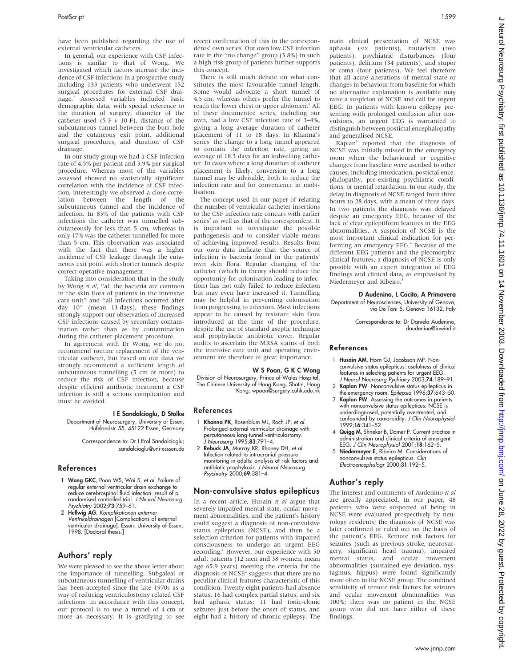have been published regarding the use of external ventricular catheters.

In general, our experience with CSF infections is similar to that of Wong. We investigated which factors increase the incidence of CSF infections in a prospective study including 133 patients who underwent 152 surgical procedures for external CSF drainage.2 Assessed variables included basic demographic data, with special reference to the duration of surgery, diameter of the catheter used (5 F  $v$  10 F), distance of the subcutaneous tunnel between the burr hole and the cutaneous exit point, additional surgical procedures, and duration of CSF drainage.

In our study group we had a CSF infection rate of 4.5% per patient and 3.9% per surgical procedure. Whereas most of the variables assessed showed no statistically significant correlation with the incidence of CSF infection, interestingly we observed a close correlation between the length of the subcutaneous tunnel and the incidence of infection. In 83% of the patients with CSF infections the catheter was tunnelled subcutaneously for less than 5 cm, whereas in only 17% was the catheter tunnelled for more than 5 cm. This observation was associated with the fact that there was a higher incidence of CSF leakage through the cutaneous exit point with shorter tunnels despite correct operative management.

Taking into consideration that in the study by Wong et al, ''all the bacteria are common in the skin flora of patients in the intensive care unit'' and ''all infections occurred after day 10'' (mean 13 days), these findings strongly support our observation of increased CSF infections caused by secondary contamination rather than as by contamination during the catheter placement procedure.

In agreement with Dr Wong, we do not recommend routine replacement of the ventricular catheter, but based on our data we strongly recommend a sufficient length of subcutaneous tunnelling (5 cm or more) to reduce the risk of CSF infection, because despite efficient antibiotic treatment a CSF infection is still a serious complication and must be avoided.

I E Sandalcioglu, D Stolke Department of Neurosurgery, University of Essen, Hufelandstr 55, 45122 Essen, Germany

> Correspondence to: Dr I Erol Sandalcioglu; sandalcioglu@uni-esssen.de

## References

- 1 Wong GKC, Poon WS, Wai S, et al. Failure of regular external ventricular drain exchange to reduce cerebrospinal fluid infection: result of a randomised controlled trial. J Neurol Neurosurg Psychiatry 2002;73:759-61.
- 2 Hellwig AG. Komplikationen externer Ventrikeldrainagen [Complications of external ventricular drainage]. Essen: University of Essen, 1998. [Doctoral thesis.]

# Authors' reply

We were pleased to see the above letter about the importance of tunnelling. Subgaleal or subcutaneous tunnelling of ventricular drains has been accepted since the late 1970s as a way of reducing ventriculostomy related CSF infections. In accordance with this concept, our protocol is to use a tunnel of 4 cm or more as necessary. It is gratifying to see recent confirmation of this in the correspondents' own series. Our own low CSF infection rate in the ''no change'' group (3.8%) in such a high risk group of patients further supports this concept.

There is still much debate on what constitutes the most favourable tunnel length. Some would advocate a short tunnel of 4.5 cm, whereas others prefer the tunnel to reach the lower chest or upper abdomen.<sup>1</sup> All of these documented series, including our own, had a low CSF infection rate of 3–4%, giving a long average duration of catheter placement of 11 to 18 days. In Khanna's series<sup>1</sup> the change to a long tunnel appeared to contain the infection rate, giving an average of 18.3 days for an indwelling catheter. In cases where a long duration of catheter placement is likely, conversion to a long tunnel may be advisable, both to reduce the infection rate and for convenience in mobilisation.

The concept used in our paper of relating the number of ventricular catheter insertions to the CSF infection rate concurs with earlier series<sup>2</sup> as well as that of the correspondent. It is important to investigate the possible pathogenesis and to consider viable means of achieving improved results. Results from our own data indicate that the source of infection is bacteria found in the patients' own skin flora. Regular changing of the catheter (which in theory should reduce the opportunity for colonisation leading to infection) has not only failed to reduce infection but may even have increased it. Tunnelling may be helpful in preventing colonisation from progressing to infection. Most infections appear to be caused by resistant skin flora introduced at the time of the procedure, despite the use of standard aseptic technique and prophylactic antibiotic cover. Regular audits to ascertain the MRSA status of both the intensive care unit and operating environment are therefore of great importance.

#### W S Poon, G K C Wong

Division of Neurosurgery, Prince of Wales Hospital, The Chinese University of Hong Kong, Shatin, Hong Kong; wpoon@surgery.cuhk.edu.hk

#### References

- 1 Khanna PK, Rosenblum ML, Roch JP, et al. Prolonged external ventricular drainage with percutaneous long-tunnel ventriculostomy. J Neurosurg 1995;83:791–4.
- 2 Rebuck JA, Murray KR, Rhoney DH, et al. Infection related to intracranial pressure monitoring in adults: analysis of risk factors and antibiotic prophylaxis. J Neurol Neurosurg Psychiatry 2000;69:381–4.

## Non-convulsive status epilepticus

In a recent article, Husain et al argue that severely impaired mental state, ocular movement abnormalities, and the patient's history could suggest a diagnosis of non-convulsive status epilepticus (NCSE), and then be a selection criterion for patients with impaired consciousness to undergo an urgent EEG recording.<sup>1</sup> However, our experience with 50 adult patients (12 men and 38 women, mean age 65.9 years) meeting the criteria for the diagnosis of NCSE<sup>2</sup> suggests that there are no peculiar clinical features characteristic of this condition. Twenty eight patients had absence status, 16 had complex partial status, and six had aphasic status; 11 had tonic-clonic seizures just before the onset of status, and eight had a history of chronic epilepsy. The

main clinical presentation of NCSE was aphasia (six patients), mutacism (two patients), psychiatric disturbances (four patients), delirium (34 patients), and stupor or coma (four patients). We feel therefore that all acute alterations of mental state or changes in behaviour from baseline for which no alternative explanation is available may raise a suspicion of NCSE and call for urgent EEG. In patients with known epilepsy presenting with prolonged confusion after convulsions, an urgent EEG is warranted to distinguish between postictal encephalopathy and generalised NCSE.

Kaplan<sup>3</sup> reported that the diagnosis of NCSE was initially missed in the emergency room when the behavioural or cognitive changes from baseline were ascribed to other causes, including intoxication, postictal encephalopathy, pre-existing psychiatric conditions, or mental retardation. In our study, the delay in diagnosis of NCSE ranged from three hours to 28 days, with a mean of three days. In two patients the diagnosis was delayed despite an emergency EEG, because of the lack of clear epileptiform features in the EEG abnormalities. A suspicion of NCSE is the most important clinical indication for performing an emergency EEG.4 Because of the different EEG patterns and the pleomorphic clinical features, a diagnosis of NCSE is only possible with an expert integration of EEG findings and clinical data, as emphasised by Niedermeyer and Ribeiro.

#### D Audenino, L Cocito, A Primavera Department of Neurosciences, University of Genova,

via De Toni 5, Genova 16132, Italy

Correspondence to: Dr Daniela Audenino; daudenino@inwind.it

#### References

- 1 Husain AM, Horn GJ, Jacobson MP, Nonconvulsive status epilepticus: usefulness of clinical features in selecting patients for urgent EEG. J Neurol Neurosurg Pychiatry 2003;74:189-91.
- 2 Kaplan PW. Nonconvulsive status epilepticus in the emergency room. *Epilepsia* 1996;**37**:643–50.
- 3 Kaplan PW. Assessing the outcomes in patients with nonconvulsive status epilepticus: NCSE is underdiagnosed, potentially overtreated, and confounded by comorbidity. J Clin Neurophysiol  $1999 \cdot 16.341 - 52$
- 4 Quigg M, Shneker B, Domer P. Current practice in administration and clinical criteria of emergent EEG. J Clin Neurophysiol 2001;18:162–5.
- 5 Niedermeyer E, Ribeiro M. Considerations of nonconvulsive status epilepticus. Clin Electroencephalogr 2000;31:192–5.

# Author's reply

The interest and comments of Audenino et al are greatly appreciated. In our paper, 48 patients who were suspected of being in NCSE were evaluated prospectively by neurology residents; the diagnosis of NCSE was later confirmed or ruled out on the basis of the patient's EEG. Remote risk factors for seizures (such as previous stroke, neurosurgery, significant head trauma), impaired mental status, and ocular movement abnormalities (sustained eye deviation, nystagmus, hippus) were found significantly more often in the NCSE group. The combined sensitivity of remote risk factors for seizures and ocular movement abnormalities was 100%; there was no patient in the NCSE group who did not have either of these findings.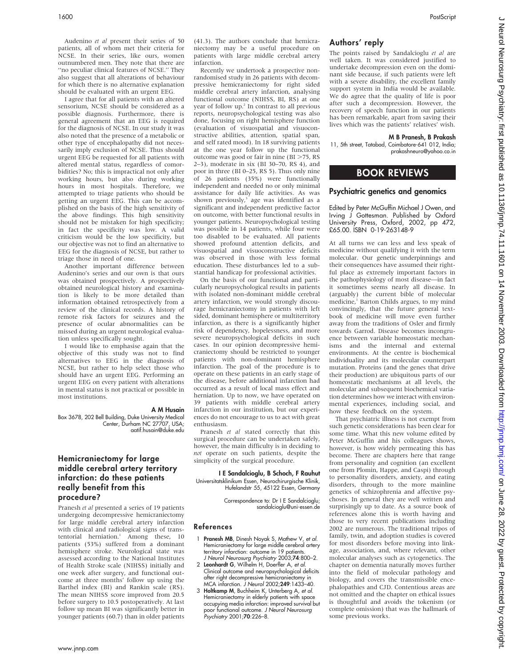1600 PostScript

Audenino et al present their series of 50 patients, all of whom met their criteria for NCSE. In their series, like ours, women outnumbered men. They note that there are ''no peculiar clinical features of NCSE.'' They also suggest that all alterations of behaviour for which there is no alternative explanation should be evaluated with an urgent EEG.

I agree that for all patients with an altered sensorium, NCSE should be considered as a possible diagnosis. Furthermore, there is general agreement that an EEG is required for the diagnosis of NCSE. In our study it was also noted that the presence of a metabolic or other type of encephalopathy did not necessarily imply exclusion of NCSE. Thus should urgent EEG be requested for all patients with altered mental status, regardless of comorbidities? No; this is impractical not only after working hours, but also during working hours in most hospitals. Therefore, we attempted to triage patients who should be getting an urgent EEG. This can be accomplished on the basis of the high sensitivity of the above findings. This high sensitivity should not be mistaken for high specificity; in fact the specificity was low. A valid criticism would be the low specificity, but our objective was not to find an alternative to EEG for the diagnosis of NCSE, but rather to triage those in need of one.

Another important difference between Audenino's series and our own is that ours was obtained prospectively. A prospectively obtained neurological history and examination is likely to be more detailed than information obtained retrospectively from a review of the clinical records. A history of remote risk factors for seizures and the presence of ocular abnormalities can be missed during an urgent neurological evaluation unless specifically sought.

I would like to emphasise again that the objective of this study was not to find alternatives to EEG in the diagnosis of NCSE, but rather to help select those who should have an urgent EEG. Performing an urgent EEG on every patient with alterations in mental status is not practical or possible in most institutions.

#### A M Husain

Box 3678, 202 Bell Building, Duke University Medical Center, Durham NC 27707, USA; aatif.husain@duke.edu

# Hemicraniectomy for large middle cerebral artery territory infarction: do these patients really benefit from this procedure?

Pranesh et al presented a series of 19 patients undergoing decompressive hemicraniectomy for large middle cerebral artery infarction with clinical and radiological signs of transtentorial herniation.<sup>1</sup> Among these, 10 patients (53%) suffered from a dominant hemisphere stroke. Neurological state was assessed according to the National Institutes of Health Stroke scale (NIHSS) initially and one week after surgery, and functional outcome at three months' follow up using the Barthel index (BI) and Rankin scale (RS). The mean NIHSS score improved from 20.5 before surgery to 10.5 postoperatively. At last follow up mean BI was significantly better in younger patients (60.7) than in older patients (41.3). The authors conclude that hemicraniectomy may be a useful procedure on patients with large middle cerebral artery infarction.

Recently we undertook a prospective nonrandomised study in 26 patients with decompressive hemicraniectomy for right sided middle cerebral artery infarction, analysing functional outcome (NIHSS, BI, RS) at one year of follow up.<sup>2</sup> In contrast to all previous reports, neuropsychological testing was also done, focusing on right hemisphere function (evaluation of visuospatial and visuoconstructive abilities, attention, spatial span, and self rated mood). In 18 surviving patients at the one year follow up the functional outcome was good or fair in nine (BI  $>$  75, RS 2–3), moderate in six (BI 30–70, RS 4), and poor in three (BI 0–25, RS 5). Thus only nine of 26 patients (35%) were functionally independent and needed no or only minimal assistance for daily life activities. As was shown previously,<sup>3</sup> age was identified as a significant and independent predictive factor on outcome, with better functional results in younger patients. Neuropsychological testing was possible in 14 patients, while four were too disabled to be evaluated. All patients showed profound attention deficits, and visuospatial and visuoconstructive deficits was observed in those with less formal education. These disturbances led to a substantial handicap for professional activities.

On the basis of our functional and particularly neuropsychological results in patients with isolated non-dominant middle cerebral artery infarction, we would strongly discourage hemicraniectomy in patients with left sided, dominant hemisphere or multiterritory infarction, as there is a significantly higher risk of dependency, hopelessness, and more severe neuropsychological deficits in such cases. In our opinion decompressive hemicraniectomy should be restricted to younger patients with non-dominant hemisphere infarction. The goal of the procedure is to operate on these patients in an early stage of the disease, before additional infarction had occurred as a result of local mass effect and herniation. Up to now, we have operated on 39 patients with middle cerebral artery infarction in our institution, but our experiences do not encourage to us to act with great enthusiasm.

Pranesh et al stated correctly that this surgical procedure can be undertaken safely, however, the main difficulty is in deciding to not operate on such patients, despite the simplicity of the surgical procedure.

I E Sandalcioglu, B Schoch, F Rauhut Universitatsklinikum Essen, Neurochirurgische Klinik, Hufelandstr 55, 45122 Essen, Germany

> Correspondence to: Dr I E Sandalcioglu; sandalcioglu@uni-essen.de

#### References

- 1 Pranesh MB, Dinesh Noyak S, Mathew V, et al. Hemicraniectomy for large middle cerebral artery territory infarction: outcome in 19 patients. J Neurol Neurosurg Psychiatry 2003;74:800–2.
- 2 Leonhardt G, Wilhelm H, Doerfler A, et al. Clinical outcome and neuropsychological deficits after right decompressive hemicraniectomy in MCA infarction. J Neurol 2002;249:1433–40.
- 3 Holtkamp M, Buchheim K, Unterberg A, et al. Hemicraniectomy in elderly patients with space occupying media infarction: improved survival but poor functional outcome. J Neurol Neurosurg Psychiatry 2001;70:226–8.

#### Authors' reply

The points raised by Sandalcioglu et al are well taken. It was considered justified to undertake decompression even on the dominant side because, if such patients were left with a severe disability, the excellent family support system in India would be available. We do agree that the quality of life is poor after such a decompression. However, the recovery of speech function in our patients has been remarkable, apart from saving their lives which was the patients' relatives' wish.

#### M B Pranesh, B Prakash

11, 5th street, Tatabad, Coimbatore-641 012, India; prakashneuro@yahoo.co.in

# BOOK REVIEWS

## Psychiatric genetics and genomics

Edited by Peter McGuffin Michael J Owen, and Irving J Gottesman. Published by Oxford University Press, Oxford, 2002, pp 472, £65.00. ISBN 0-19-263148-9

At all turns we can less and less speak of medicine without qualifying it with the term molecular. Our genetic underpinnings and their consequences have assumed their rightful place as extremely important factors in the pathophysiology of most disease—in fact it sometimes seems nearly all disease. In (arguably) the current bible of molecular medicine,<sup>1</sup> Barton Childs argues, to my mind convincingly, that the future general textbook of medicine will move even further away from the traditions of Osler and firmly towards Garrod. Disease becomes incongruence between variable homeostatic mechanisms and the internal and external environments. At the centre is biochemical individuality and its molecular counterpart mutation. Proteins (and the genes that drive their production) are ubiquitous parts of our homeostatic mechanisms at all levels, the molecular and subsequent biochemical variation determines how we interact with environmental experiences, including social, and how these feedback on the system.

That psychiatric illness is not exempt from such genetic considerations has been clear for some time. What this new volume edited by Peter McGuffin and his colleagues shows, however, is how widely permeating this has become. There are chapters here that range from personality and cognition (an excellent one from Plomin, Happe, and Caspi) through to personality disorders, anxiety, and eating disorders, through to the more mainline genetics of schizophrenia and affective psychoses. In general they are well written and surprisingly up to date. As a source book of references alone this is worth having and those to very recent publications including 2002 are numerous. The traditional tripos of family, twin, and adoption studies is covered for most disorders before moving into linkage, association, and, where relevant, other molecular analyses such as cytogenetics. The chapter on dementia naturally moves further into the field of molecular pathology and biology, and covers the transmissible encephalopathies and CJD. Contentious areas are not omitted and the chapter on ethical issues is thoughtful and avoids the tokenism (or complete omission) that was the hallmark of some previous works.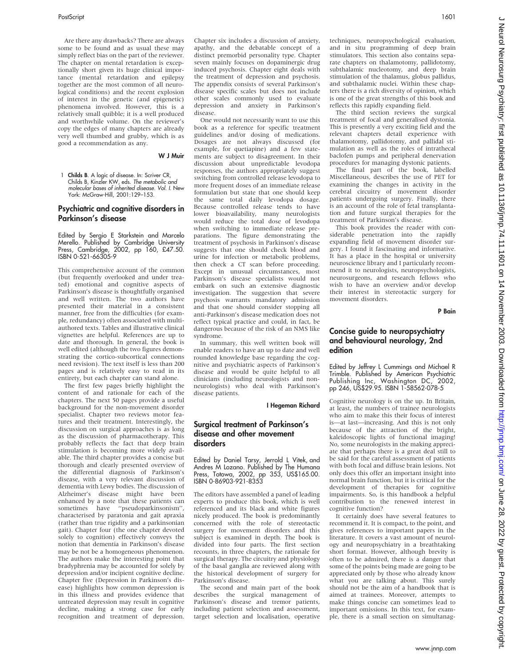Are there any drawbacks? There are always some to be found and as usual these may simply reflect bias on the part of the reviewer. The chapter on mental retardation is exceptionally short given its huge clinical importance (mental retardation and epilepsy together are the most common of all neurological conditions) and the recent explosion of interest in the genetic (and epigenetic) phenomena involved. However, this is a relatively small quibble; it is a well produced and worthwhile volume. On the reviewer's copy the edges of many chapters are already very well thumbed and grubby, which is as good a recommendation as any.

W J Muir

1 **Childs B**. A logic of disease. In: Scriver CR, Childs B, Kinzler KW, eds. The metabolic and molecular bases of inherited disease. Vol. I. New York: McGraw-Hill, 2001:129–153.

# Psychiatric and cognitive disorders in Parkinson's disease

Edited by Sergio E Starkstein and Marcelo Merello. Published by Cambridge University Press, Cambridge, 2002, pp 160, £47.50. ISBN 0-521-66305-9

This comprehensive account of the common (but frequently overlooked and under treated) emotional and cognitive aspects of Parkinson's disease is thoughtfully organised and well written. The two authors have presented their material in a consistent manner, free from the difficulties (for example, redundancy) often associated with multiauthored texts. Tables and illustrative clinical vignettes are helpful. References are up to date and thorough. In general, the book is well edited (although the two figures demonstrating the cortico-subcortical connections need revision). The text itself is less than 200 pages and is relatively easy to read in its entirety, but each chapter can stand alone.

The first few pages briefly highlight the content of and rationale for each of the chapters. The next 50 pages provide a useful background for the non-movement disorder specialist. Chapter two reviews motor features and their treatment. Interestingly, the discussion on surgical approaches is as long as the discussion of pharmacotherapy. This probably reflects the fact that deep brain stimulation is becoming more widely available. The third chapter provides a concise but thorough and clearly presented overview of the differential diagnosis of Parkinson's disease, with a very relevant discussion of dementia with Lewy bodies. The discussion of Alzheimer's disease might have been enhanced by a note that these patients can sometimes have "pseudoparkinsonism", characterised by paratonia and gait apraxia (rather than true rigidity and a parkinsonian gait). Chapter four (the one chapter devoted solely to cognition) effectively conveys the notion that dementia in Parkinson's disease may be not be a homogeneous phenomenon. The authors make the interesting point that bradyphrenia may be accounted for solely by depression and/or incipient cognitive decline. Chapter five (Depression in Parkinson's disease) highlights how common depression is in this illness and provides evidence that untreated depression may result in cognitive decline, making a strong case for early recognition and treatment of depression. Chapter six includes a discussion of anxiety, apathy, and the debatable concept of a distinct premorbid personality type. Chapter seven mainly focuses on dopaminergic drug induced psychosis. Chapter eight deals with the treatment of depression and psychosis. The appendix consists of several Parkinson's disease specific scales but does not include other scales commonly used to evaluate depression and anxiety in Parkinson's disease.

Because controlled release tends to have lower bioavailability, many neurologists would reduce the total dose of levodopa when switching to immediate release preparations. The figure demonstrating the treatment of psychosis in Parkinson's disease suggests that one should check blood and urine for infection or metabolic problems, then check a CT scan before proceeding. Except in unusual circumstances, most Parkinson's disease specialists would not embark on such an extensive diagnostic investigation. The suggestion that severe psychosis warrants mandatory admission and that one should consider stopping all anti-Parkinson's disease medication does not reflect typical practice and could, in fact, be dangerous because of the risk of an NMS like syndrome. One would not necessarily want to use this book as a reference for specific treatment guidelines and/or dosing of medications. Dosages are not always discussed (for example, for quetiapine) and a few statements are subject to disagreement. In their discussion about unpredictable levodopa responses, the authors appropriately suggest switching from controlled release levodopa to more frequent doses of an immediate release formulation but state that one should keep the same total daily levodopa dosage.

In summary, this well written book will enable readers to have an up to date and well rounded knowledge base regarding the cognitive and psychiatric aspects of Parkinson's disease and would be quite helpful to all clinicians (including neurologists and nonneurologists) who deal with Parkinson's disease patients.

#### I Hegeman Richard

## Surgical treatment of Parkinson's disease and other movement disorders

Edited by Daniel Tarsy, Jerrold L Vitek, and Andres M Lozano. Published by The Humana Press, Totowa, 2002, pp 353, US\$165.00. ISBN 0-86903-921-8353

The editors have assembled a panel of leading experts to produce this book, which is well referenced and its black and white figures nicely produced. The book is predominantly concerned with the role of stereotactic surgery for movement disorders and this subject is examined in depth. The book is divided into four parts. The first section recounts, in three chapters, the rationale for surgical therapy. The circuitry and physiology of the basal ganglia are reviewed along with the historical development of surgery for Parkinson's disease.

The second and main part of the book describes the surgical management of Parkinson's disease and tremor patients, including patient selection and assessment, target selection and localisation, operative

techniques, neuropsychological evaluation, and in situ programming of deep brain stimulators. This section also contains separate chapters on thalamotomy, pallidotomy, subthalamic nucleotomy, and deep brain stimulation of the thalamus, globus pallidus, and subthalamic nuclei. Within these chapters there is a rich diversity of opinion, which is one of the great strengths of this book and reflects this rapidly expanding field.

The third section reviews the surgical treatment of focal and generalised dystonia. This is presently a very exciting field and the relevant chapters detail experience with thalamotomy, pallidotomy, and pallidal stimulation as well as the roles of intrathecal baclofen pumps and peripheral denervation procedures for managing dystonic patients.

The final part of the book, labelled Miscellaneous, describes the use of PET for examining the changes in activity in the cerebral circuitry of movement disorder patients undergoing surgery. Finally, there is an account of the role of fetal transplantation and future surgical therapies for the treatment of Parkinson's disease.

This book provides the reader with considerable penetration into the rapidly expanding field of movement disorder surgery. I found it fascinating and informative. It has a place in the hospital or university neuroscience library and I particularly recommend it to neurologists, neuropsychologists, neurosurgeons, and research fellows who wish to have an overview and/or develop their interest in stereotactic surgery for movement disorders.

P Bain

# Concise guide to neuropsychiatry and behavioural neurology, 2nd edition

Edited by Jeffrey L Cummings and Michael R Trimble. Published by American Psychiatric Publishing Inc, Washington DC, 2002, pp 246, US\$29.95. ISBN 1-58562-078-5

Cognitive neurology is on the up. In Britain, at least, the numbers of trainee neurologists who aim to make this their focus of interest is—at last—increasing. And this is not only because of the attraction of the bright, kaleidoscopic lights of functional imaging! No, some neurologists in the making appreciate that perhaps there is a great deal still to be said for the careful assessment of patients with both focal and diffuse brain lesions. Not only does this offer an important insight into normal brain function, but it is critical for the development of therapies for cognitive impairments. So, is this handbook a helpful contribution to the renewed interest in cognitive function?

It certainly does have several features to recommend it. It is compact, to the point, and gives references to important papers in the literature. It covers a vast amount of neurology and neuropsychiatry in a breathtaking short format. However, although brevity is often to be admired, there is a danger that some of the points being made are going to be appreciated only by those who already know what you are talking about. This surely should not be the aim of a handbook that is aimed at trainees. Moreover, attempts to make things concise can sometimes lead to important omissions. In this text, for example, there is a small section on simultanag